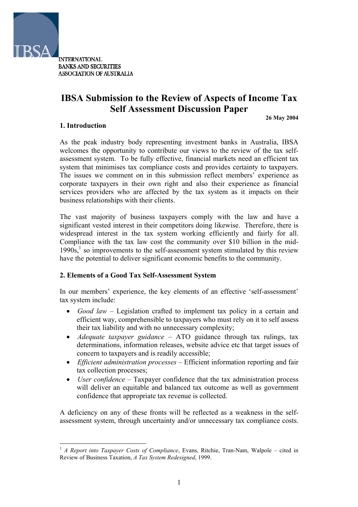

**INTERNATIONAL BANKS AND SECURITIES ASSOCIATION OF AUSTRALIA** 

# **IBSA Submission to the Review of Aspects of Income Tax Self Assessment Discussion Paper**

**26 May 2004**

## **1. Introduction**

 $\overline{a}$ 

As the peak industry body representing investment banks in Australia, IBSA welcomes the opportunity to contribute our views to the review of the tax selfassessment system. To be fully effective, financial markets need an efficient tax system that minimises tax compliance costs and provides certainty to taxpayers. The issues we comment on in this submission reflect members' experience as corporate taxpayers in their own right and also their experience as financial services providers who are affected by the tax system as it impacts on their business relationships with their clients.

The vast majority of business taxpayers comply with the law and have a significant vested interest in their competitors doing likewise. Therefore, there is widespread interest in the tax system working efficiently and fairly for all. Compliance with the tax law cost the community over \$10 billion in the mid- $1990s$  $1990s$ ,<sup>1</sup> so improvements to the self-assessment system stimulated by this review have the potential to deliver significant economic benefits to the community.

## **2. Elements of a Good Tax Self-Assessment System**

In our members' experience, the key elements of an effective 'self-assessment' tax system include:

- $\bullet$ *Good law* – Legislation crafted to implement tax policy in a certain and efficient way, comprehensible to taxpayers who must rely on it to self assess their tax liability and with no unnecessary complexity;
- *Adequate taxpayer guidance* – ATO guidance through tax rulings, tax determinations, information releases, website advice etc that target issues of concern to taxpayers and is readily accessible;
- *Efficient administration processes* Efficient information reporting and fair tax collection processes;
- *User confidence* Taxpayer confidence that the tax administration process will deliver an equitable and balanced tax outcome as well as government confidence that appropriate tax revenue is collected.

A deficiency on any of these fronts will be reflected as a weakness in the selfassessment system, through uncertainty and/or unnecessary tax compliance costs.

<span id="page-0-0"></span><sup>&</sup>lt;sup>1</sup> *A Report into Taxpayer Costs of Compliance*, Evans, Ritchie, Tran-Nam, Walpole – cited in Review of Business Taxation, *A Tax System Redesigned*, 1999.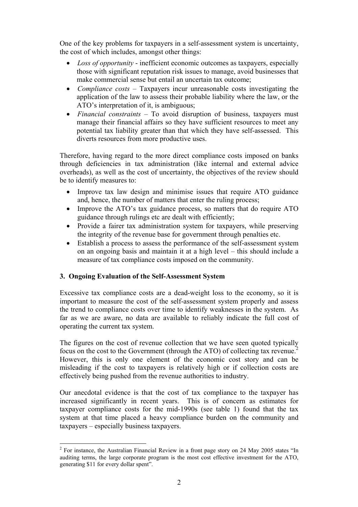One of the key problems for taxpayers in a self-assessment system is uncertainty, the cost of which includes, amongst other things:

- *Loss of opportunity* inefficient economic outcomes as taxpayers, especially those with significant reputation risk issues to manage, avoid businesses that make commercial sense but entail an uncertain tax outcome;
- $\bullet$ *Compliance costs* – Taxpayers incur unreasonable costs investigating the application of the law to assess their probable liability where the law, or the ATO's interpretation of it, is ambiguous;
- *Financial constraints* To avoid disruption of business, taxpayers must manage their financial affairs so they have sufficient resources to meet any potential tax liability greater than that which they have self-assessed. This diverts resources from more productive uses.

Therefore, having regard to the more direct compliance costs imposed on banks through deficiencies in tax administration (like internal and external advice overheads), as well as the cost of uncertainty, the objectives of the review should be to identify measures to:

- Improve tax law design and minimise issues that require ATO guidance and, hence, the number of matters that enter the ruling process;
- Improve the ATO's tax guidance process, so matters that do require ATO guidance through rulings etc are dealt with efficiently;
- Provide a fairer tax administration system for taxpayers, while preserving the integrity of the revenue base for government through penalties etc.
- Establish a process to assess the performance of the self-assessment system on an ongoing basis and maintain it at a high level – this should include a measure of tax compliance costs imposed on the community.

## **3. Ongoing Evaluation of the Self-Assessment System**

Excessive tax compliance costs are a dead-weight loss to the economy, so it is important to measure the cost of the self-assessment system properly and assess the trend to compliance costs over time to identify weaknesses in the system. As far as we are aware, no data are available to reliably indicate the full cost of operating the current tax system.

The figures on the cost of revenue collection that we have seen quoted typically focus on the cost to the Government (through the ATO) of collecting tax revenue[.2](#page-1-0) However, this is only one element of the economic cost story and can be misleading if the cost to taxpayers is relatively high or if collection costs are effectively being pushed from the revenue authorities to industry.

Our anecdotal evidence is that the cost of tax compliance to the taxpayer has increased significantly in recent years. This is of concern as estimates for taxpayer compliance costs for the mid-1990s (see table 1) found that the tax system at that time placed a heavy compliance burden on the community and taxpayers – especially business taxpayers.

<span id="page-1-0"></span> $\overline{a}$  $2^2$  For instance, the Australian Financial Review in a front page story on 24 May 2005 states "In auditing terms, the large corporate program is the most cost effective investment for the ATO, generating \$11 for every dollar spent".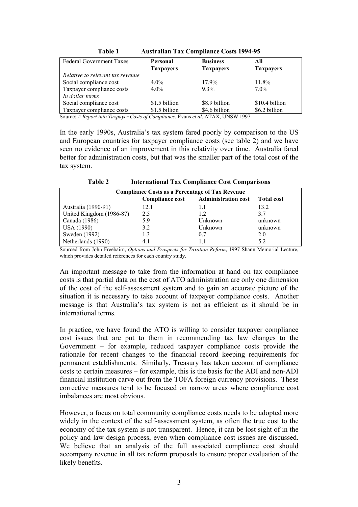| 1 avit 1<br>$11$ and $11$ and $20$ in $11$ and $20$ and $11$ |                  |                  |                  |  |
|--------------------------------------------------------------|------------------|------------------|------------------|--|
| <b>Federal Government Taxes</b>                              | <b>Personal</b>  | <b>Business</b>  | All              |  |
|                                                              | <b>Taxpayers</b> | <b>Taxpayers</b> | <b>Taxpayers</b> |  |
| Relative to relevant tax revenue                             |                  |                  |                  |  |
| Social compliance cost                                       | $4.0\%$          | $17.9\%$         | $11.8\%$         |  |
| Taxpayer compliance costs                                    | $4.0\%$          | $9.3\%$          | $7.0\%$          |  |
| In dollar terms                                              |                  |                  |                  |  |
| Social compliance cost                                       | \$1.5 billion    | \$8.9 billion    | \$10.4 billion   |  |
| Taxpayer compliance costs                                    | \$1.5 billion    | \$4.6 billion    | \$6.2 billion    |  |
| $\sim$ $\sim$ $\sim$                                         |                  |                  |                  |  |

**Table 1 Australian Tax Compliance Costs 1994-95** 

Source: *A Report into Taxpayer Costs of Compliance*, Evans *et al*, ATAX, UNSW 1997.

In the early 1990s, Australia's tax system fared poorly by comparison to the US and European countries for taxpayer compliance costs (see table 2) and we have seen no evidence of an improvement in this relativity over time. Australia fared better for administration costs, but that was the smaller part of the total cost of the tax system.

**Table 2 International Tax Compliance Cost Comparisons** 

| 1 adie 2<br>International Tax Compliance Cost Comparisons |                            |                   |  |  |
|-----------------------------------------------------------|----------------------------|-------------------|--|--|
| <b>Compliance Costs as a Percentage of Tax Revenue</b>    |                            |                   |  |  |
| <b>Compliance cost</b>                                    | <b>Administration cost</b> | <b>Total cost</b> |  |  |
| 12.1                                                      | 1.1                        | 13.2              |  |  |
| 2.5                                                       | 12                         | 37                |  |  |
| 5.9                                                       | Unknown                    | unknown           |  |  |
| 3.2                                                       | Unknown                    | unknown           |  |  |
| 1.3                                                       | 0.7                        | 2.0               |  |  |
| 4.1                                                       |                            | 5.2               |  |  |
|                                                           |                            |                   |  |  |

Sourced from John Freebairn, *Options and Prospects for Taxation Reform*, 1997 Shann Memorial Lecture, which provides detailed references for each country study.

An important message to take from the information at hand on tax compliance costs is that partial data on the cost of ATO administration are only one dimension of the cost of the self-assessment system and to gain an accurate picture of the situation it is necessary to take account of taxpayer compliance costs. Another message is that Australia's tax system is not as efficient as it should be in international terms.

In practice, we have found the ATO is willing to consider taxpayer compliance cost issues that are put to them in recommending tax law changes to the Government – for example, reduced taxpayer compliance costs provide the rationale for recent changes to the financial record keeping requirements for permanent establishments. Similarly, Treasury has taken account of compliance costs to certain measures – for example, this is the basis for the ADI and non-ADI financial institution carve out from the TOFA foreign currency provisions. These corrective measures tend to be focused on narrow areas where compliance cost imbalances are most obvious.

However, a focus on total community compliance costs needs to be adopted more widely in the context of the self-assessment system, as often the true cost to the economy of the tax system is not transparent. Hence, it can be lost sight of in the policy and law design process, even when compliance cost issues are discussed. We believe that an analysis of the full associated compliance cost should accompany revenue in all tax reform proposals to ensure proper evaluation of the likely benefits.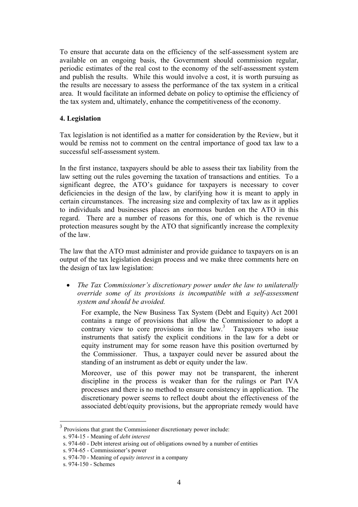To ensure that accurate data on the efficiency of the self-assessment system are available on an ongoing basis, the Government should commission regular, periodic estimates of the real cost to the economy of the self-assessment system and publish the results. While this would involve a cost, it is worth pursuing as the results are necessary to assess the performance of the tax system in a critical area. It would facilitate an informed debate on policy to optimise the efficiency of the tax system and, ultimately, enhance the competitiveness of the economy.

#### **4. Legislation**

Tax legislation is not identified as a matter for consideration by the Review, but it would be remiss not to comment on the central importance of good tax law to a successful self-assessment system.

In the first instance, taxpayers should be able to assess their tax liability from the law setting out the rules governing the taxation of transactions and entities. To a significant degree, the ATO's guidance for taxpayers is necessary to cover deficiencies in the design of the law, by clarifying how it is meant to apply in certain circumstances. The increasing size and complexity of tax law as it applies to individuals and businesses places an enormous burden on the ATO in this regard. There are a number of reasons for this, one of which is the revenue protection measures sought by the ATO that significantly increase the complexity of the law.

The law that the ATO must administer and provide guidance to taxpayers on is an output of the tax legislation design process and we make three comments here on the design of tax law legislation:

 $\bullet$ *The Tax Commissioner's discretionary power under the law to unilaterally override some of its provisions is incompatible with a self-assessment system and should be avoided.* 

For example, the New Business Tax System (Debt and Equity) Act 2001 contains a range of provisions that allow the Commissioner to adopt a contrary view to core provisions in the  $law$ <sup>[3](#page-3-0)</sup> Taxpayers who issue instruments that satisfy the explicit conditions in the law for a debt or equity instrument may for some reason have this position overturned by the Commissioner. Thus, a taxpayer could never be assured about the standing of an instrument as debt or equity under the law.

Moreover, use of this power may not be transparent, the inherent discipline in the process is weaker than for the rulings or Part IVA processes and there is no method to ensure consistency in application. The discretionary power seems to reflect doubt about the effectiveness of the associated debt/equity provisions, but the appropriate remedy would have

 $\overline{a}$ 

<span id="page-3-0"></span>Provisions that grant the Commissioner discretionary power include:

s. 974-15 - Meaning of *debt interest*

s. 974-60 - Debt interest arising out of obligations owned by a number of entities

s. 974-65 - Commissioner's power

s. 974-70 - Meaning of *equity interest* in a company

s. 974-150 - Schemes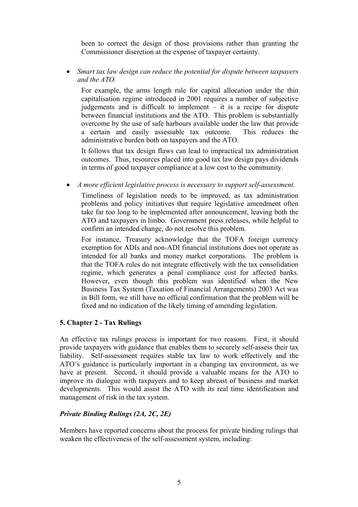been to correct the design of those provisions rather than granting the Commissioner discretion at the expense of taxpayer certainty.

*Smart tax law design can reduce the potential for dispute between taxpayers and the ATO.*  •

For example, the arms length rule for capital allocation under the thin capitalisation regime introduced in 2001 requires a number of subjective judgements and is difficult to implement – it is a recipe for dispute between financial institutions and the ATO. This problem is substantially overcome by the use of safe harbours available under the law that provide a certain and easily assessable tax outcome. This reduces the administrative burden both on taxpayers and the ATO.

It follows that tax design flaws can lead to impractical tax administration outcomes. Thus, resources placed into good tax law design pays dividends in terms of good taxpayer compliance at a low cost to the community.

• *A more efficient legislative process is necessary to support self-assessment.* 

Timeliness of legislation needs to be improved, as tax administration problems and policy initiatives that require legislative amendment often take far too long to be implemented after announcement, leaving both the ATO and taxpayers in limbo. Government press releases, while helpful to confirm an intended change, do not resolve this problem.

For instance, Treasury acknowledge that the TOFA foreign currency exemption for ADIs and non-ADI financial institutions does not operate as intended for all banks and money market corporations. The problem is that the TOFA rules do not integrate effectively with the tax consolidation regime, which generates a penal compliance cost for affected banks. However, even though this problem was identified when the New Business Tax System (Taxation of Financial Arrangements) 2003 Act was in Bill form, we still have no official confirmation that the problem will be fixed and no indication of the likely timing of amending legislation.

#### **5. Chapter 2 - Tax Rulings**

An effective tax rulings process is important for two reasons. First, it should provide taxpayers with guidance that enables them to securely self-assess their tax liability. Self-assessment requires stable tax law to work effectively and the ATO's guidance is particularly important in a changing tax environment, as we have at present. Second, it should provide a valuable means for the ATO to improve its dialogue with taxpayers and to keep abreast of business and market developments. This would assist the ATO with its real time identification and management of risk in the tax system.

## *Private Binding Rulings (2A, 2C, 2E)*

Members have reported concerns about the process for private binding rulings that weaken the effectiveness of the self-assessment system, including: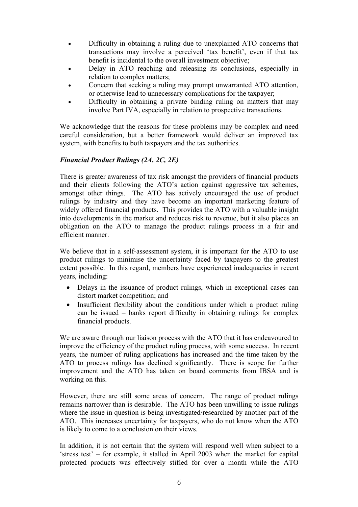- Difficulty in obtaining a ruling due to unexplained ATO concerns that transactions may involve a perceived 'tax benefit', even if that tax benefit is incidental to the overall investment objective;
- Delay in ATO reaching and releasing its conclusions, especially in relation to complex matters;
- Concern that seeking a ruling may prompt unwarranted ATO attention, or otherwise lead to unnecessary complications for the taxpayer;
- Difficulty in obtaining a private binding ruling on matters that may involve Part IVA, especially in relation to prospective transactions.

We acknowledge that the reasons for these problems may be complex and need careful consideration, but a better framework would deliver an improved tax system, with benefits to both taxpayers and the tax authorities.

## *Financial Product Rulings (2A, 2C, 2E)*

There is greater awareness of tax risk amongst the providers of financial products and their clients following the ATO's action against aggressive tax schemes, amongst other things. The ATO has actively encouraged the use of product rulings by industry and they have become an important marketing feature of widely offered financial products. This provides the ATO with a valuable insight into developments in the market and reduces risk to revenue, but it also places an obligation on the ATO to manage the product rulings process in a fair and efficient manner.

We believe that in a self-assessment system, it is important for the ATO to use product rulings to minimise the uncertainty faced by taxpayers to the greatest extent possible. In this regard, members have experienced inadequacies in recent years, including:

- Delays in the issuance of product rulings, which in exceptional cases can distort market competition; and
- Insufficient flexibility about the conditions under which a product ruling can be issued – banks report difficulty in obtaining rulings for complex financial products.

We are aware through our liaison process with the ATO that it has endeavoured to improve the efficiency of the product ruling process, with some success. In recent years, the number of ruling applications has increased and the time taken by the ATO to process rulings has declined significantly. There is scope for further improvement and the ATO has taken on board comments from IBSA and is working on this.

However, there are still some areas of concern. The range of product rulings remains narrower than is desirable. The ATO has been unwilling to issue rulings where the issue in question is being investigated/researched by another part of the ATO. This increases uncertainty for taxpayers, who do not know when the ATO is likely to come to a conclusion on their views.

In addition, it is not certain that the system will respond well when subject to a 'stress test' – for example, it stalled in April 2003 when the market for capital protected products was effectively stifled for over a month while the ATO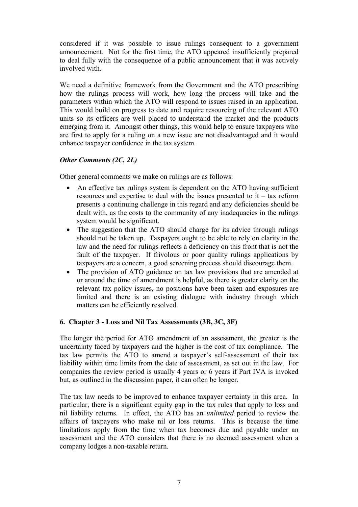considered if it was possible to issue rulings consequent to a government announcement. Not for the first time, the ATO appeared insufficiently prepared to deal fully with the consequence of a public announcement that it was actively involved with.

We need a definitive framework from the Government and the ATO prescribing how the rulings process will work, how long the process will take and the parameters within which the ATO will respond to issues raised in an application. This would build on progress to date and require resourcing of the relevant ATO units so its officers are well placed to understand the market and the products emerging from it. Amongst other things, this would help to ensure taxpayers who are first to apply for a ruling on a new issue are not disadvantaged and it would enhance taxpayer confidence in the tax system.

# *Other Comments (2C, 2L)*

Other general comments we make on rulings are as follows:

- An effective tax rulings system is dependent on the ATO having sufficient resources and expertise to deal with the issues presented to it – tax reform presents a continuing challenge in this regard and any deficiencies should be dealt with, as the costs to the community of any inadequacies in the rulings system would be significant.
- The suggestion that the ATO should charge for its advice through rulings should not be taken up. Taxpayers ought to be able to rely on clarity in the law and the need for rulings reflects a deficiency on this front that is not the fault of the taxpayer. If frivolous or poor quality rulings applications by taxpayers are a concern, a good screening process should discourage them.
- The provision of ATO guidance on tax law provisions that are amended at or around the time of amendment is helpful, as there is greater clarity on the relevant tax policy issues, no positions have been taken and exposures are limited and there is an existing dialogue with industry through which matters can be efficiently resolved.

## **6. Chapter 3 - Loss and Nil Tax Assessments (3B, 3C, 3F)**

The longer the period for ATO amendment of an assessment, the greater is the uncertainty faced by taxpayers and the higher is the cost of tax compliance. The tax law permits the ATO to amend a taxpayer's self-assessment of their tax liability within time limits from the date of assessment, as set out in the law. For companies the review period is usually 4 years or 6 years if Part IVA is invoked but, as outlined in the discussion paper, it can often be longer.

The tax law needs to be improved to enhance taxpayer certainty in this area. In particular, there is a significant equity gap in the tax rules that apply to loss and nil liability returns. In effect, the ATO has an *unlimited* period to review the affairs of taxpayers who make nil or loss returns. This is because the time limitations apply from the time when tax becomes due and payable under an assessment and the ATO considers that there is no deemed assessment when a company lodges a non-taxable return.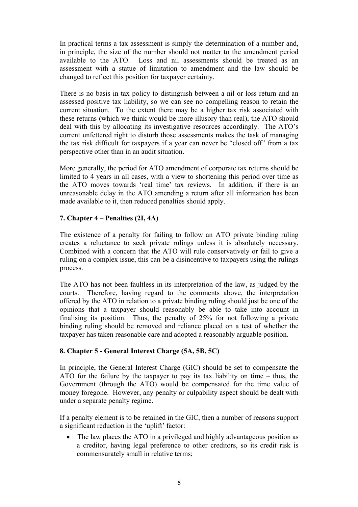In practical terms a tax assessment is simply the determination of a number and, in principle, the size of the number should not matter to the amendment period available to the ATO. Loss and nil assessments should be treated as an assessment with a statue of limitation to amendment and the law should be changed to reflect this position for taxpayer certainty.

There is no basis in tax policy to distinguish between a nil or loss return and an assessed positive tax liability, so we can see no compelling reason to retain the current situation. To the extent there may be a higher tax risk associated with these returns (which we think would be more illusory than real), the ATO should deal with this by allocating its investigative resources accordingly. The ATO's current unfettered right to disturb those assessments makes the task of managing the tax risk difficult for taxpayers if a year can never be "closed off" from a tax perspective other than in an audit situation.

More generally, the period for ATO amendment of corporate tax returns should be limited to 4 years in all cases, with a view to shortening this period over time as the ATO moves towards 'real time' tax reviews. In addition, if there is an unreasonable delay in the ATO amending a return after all information has been made available to it, then reduced penalties should apply.

# **7. Chapter 4 – Penalties (2I, 4A)**

The existence of a penalty for failing to follow an ATO private binding ruling creates a reluctance to seek private rulings unless it is absolutely necessary. Combined with a concern that the ATO will rule conservatively or fail to give a ruling on a complex issue, this can be a disincentive to taxpayers using the rulings process.

The ATO has not been faultless in its interpretation of the law, as judged by the courts. Therefore, having regard to the comments above, the interpretation offered by the ATO in relation to a private binding ruling should just be one of the opinions that a taxpayer should reasonably be able to take into account in finalising its position. Thus, the penalty of 25% for not following a private binding ruling should be removed and reliance placed on a test of whether the taxpayer has taken reasonable care and adopted a reasonably arguable position.

## **8. Chapter 5 - General Interest Charge (5A, 5B, 5C)**

In principle, the General Interest Charge (GIC) should be set to compensate the ATO for the failure by the taxpayer to pay its tax liability on time – thus, the Government (through the ATO) would be compensated for the time value of money foregone. However, any penalty or culpability aspect should be dealt with under a separate penalty regime.

If a penalty element is to be retained in the GIC, then a number of reasons support a significant reduction in the 'uplift' factor:

• The law places the ATO in a privileged and highly advantageous position as a creditor, having legal preference to other creditors, so its credit risk is commensurately small in relative terms;